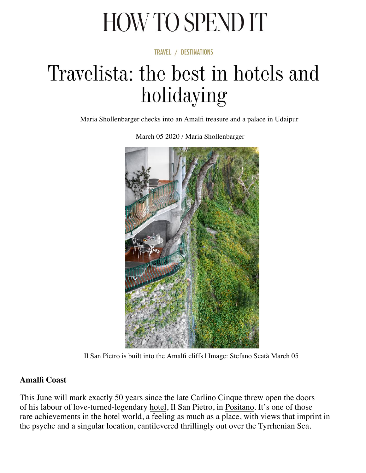# HOW TO SPEND IT

**TRAVEL / DESTINATIONS** 

# Travelista: the best in hotels and holidaying

Maria Shollenbarger checks into an Amalfi treasure and a palace in Udaipur



March 05 2020 / Maria Shollenbarger

Il San Pietro is built into the Amalfi cliffs | Image: Stefano Scatà March 05

### **Amalfi Coast**

This June will mark exactly 50 years since the late Carlino Cinque threw open the doors of his labour of love-turned-legendary hotel, Il San Pietro, in Positano. It's one of those rare achievements in the hotel world, a feeling as much as a place, with views that imprint in the psyche and a singular location, cantilevered thrillingly out over the Tyrrhenian Sea.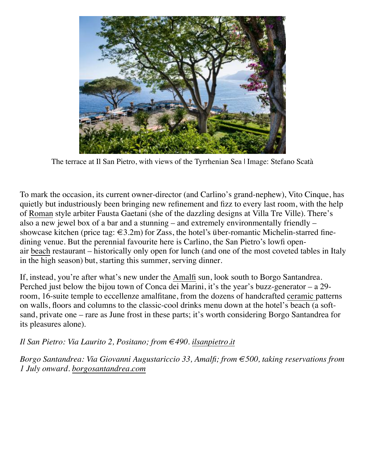

The terrace at Il San Pietro, with views of the Tyrrhenian Sea | Image: Stefano Scatà

To mark the occasion, its current owner-director (and Carlino's grand-nephew), Vito Cinque, has quietly but industriously been bringing new refinement and fizz to every last room, with the help of [Roman](https://howtospendit.ft.com/rome) style arbiter Fausta Gaetani (she of the dazzling designs at Villa Tre Ville). There's also a new jewel box of a bar and a stunning – and extremely environmentally friendly – showcase kitchen (price tag:  $\epsilon$ 3.2m) for Zass, the hotel's über-romantic Michelin-starred finedining venue. But the perennial favourite here is Carlino, the San Pietro's lowfi openair [beach](https://howtospendit.ft.com/travel/beach) restaurant – historically only open for lunch (and one of the most coveted tables in Italy in the high season) but, starting this summer, serving dinner.

If, instead, you're after what's new under the [Amalfi](https://howtospendit.ft.com/amalfi-coast) sun, look south to Borgo Santandrea. Perched just below the bijou town of Conca dei Marini, it's the year's buzz-generator – a 29 room, 16-suite temple to eccellenze amalfitane, from the dozens of handcrafted [ceramic p](https://howtospendit.ft.com/ceramics)atterns on walls, floors and columns to the classic-cool drinks menu down at the hotel's beach (a softsand, private one – rare as June frost in these parts; it's worth considering Borgo Santandrea for its pleasures alone).

### *Il San Pietro: Via Laurito 2, Positano; from €490. [ilsanpietro.it](https://www.ilsanpietro.it/)*

*Borgo Santandrea: Via Giovanni Augustariccio 33, Amalfi; from €500, taking reservations from 1 July onward. [borgosantandrea.com](https://www.borgosantandrea.com/)*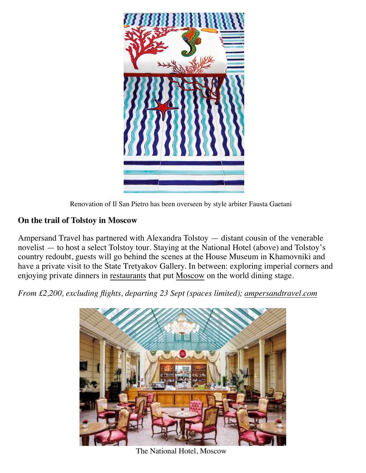



#### **On the trail of Tolstoy in Moscow**

Ampersand Travel has partnered with Alexandra Tolstoy — distant cousin of the venerable novelist — to host a select Tolstoy tour. Staying at the National Hotel (above) and Tolstoy's country redoubt, guests will go behind the scenes at the House Museum in Khamovniki and have a private visit to the State Tretyakov Gallery. In between: exploring imperial corners and enjoying private dinners in [restaurants](https://howtospendit.ft.com/food-drink/restaurants) that put [Moscow](https://howtospendit.ft.com/moscow) on the world dining stage.

*From £2,200, excluding flights, departing 23 Sept (spaces limited); [ampersandtravel.com](https://www.ampersandtravel.com/)*



The National Hotel, Moscow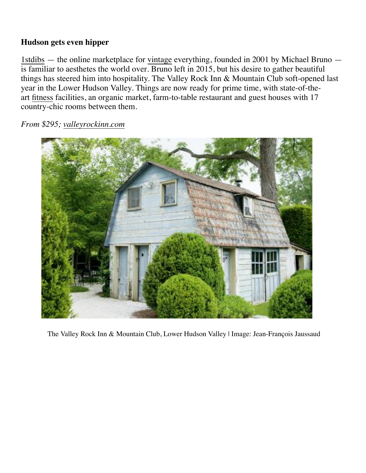#### **Hudson gets even hipper**

[1stdibs](https://howtospendit.ft.com/1stdibs) — the online marketplace for [vintage](https://howtospendit.ft.com/vintage) everything, founded in 2001 by Michael Bruno is familiar to aesthetes the world over. Bruno left in 2015, but his desire to gather beautiful things has steered him into hospitality. The Valley Rock Inn & Mountain Club soft-opened last year in the Lower Hudson Valley. Things are now ready for prime time, with state-of-theart [fitness](https://howtospendit.ft.com/health-wellbeing/fitness) facilities, an organic market, farm-to-table restaurant and guest houses with 17 country-chic rooms between them.

*From \$295; [valleyrockinn.com](https://www.valleyrockinn.com/)*



The Valley Rock Inn & Mountain Club, Lower Hudson Valley | Image: Jean-François Jaussaud